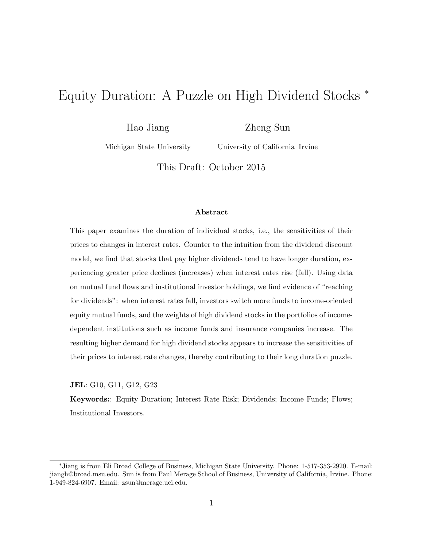# Equity Duration: A Puzzle on High Dividend Stocks <sup>∗</sup>

Hao Jiang

Zheng Sun

Michigan State University

University of California–Irvine

This Draft: October 2015

#### Abstract

This paper examines the duration of individual stocks, i.e., the sensitivities of their prices to changes in interest rates. Counter to the intuition from the dividend discount model, we find that stocks that pay higher dividends tend to have longer duration, experiencing greater price declines (increases) when interest rates rise (fall). Using data on mutual fund flows and institutional investor holdings, we find evidence of "reaching for dividends": when interest rates fall, investors switch more funds to income-oriented equity mutual funds, and the weights of high dividend stocks in the portfolios of incomedependent institutions such as income funds and insurance companies increase. The resulting higher demand for high dividend stocks appears to increase the sensitivities of their prices to interest rate changes, thereby contributing to their long duration puzzle.

JEL: G10, G11, G12, G23

Keywords:: Equity Duration; Interest Rate Risk; Dividends; Income Funds; Flows; Institutional Investors.

<sup>∗</sup>Jiang is from Eli Broad College of Business, Michigan State University. Phone: 1-517-353-2920. E-mail: jiangh@broad.msu.edu. Sun is from Paul Merage School of Business, University of California, Irvine. Phone: 1-949-824-6907. Email: zsun@merage.uci.edu.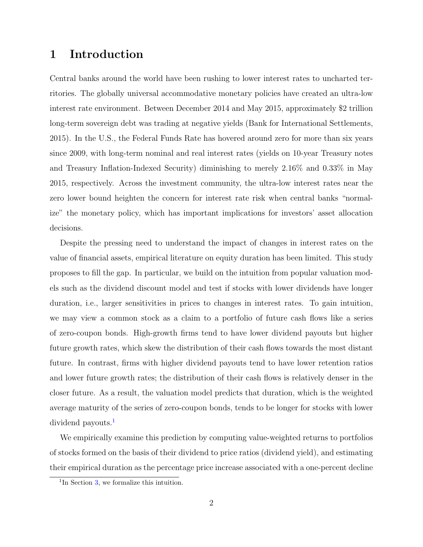## 1 Introduction

Central banks around the world have been rushing to lower interest rates to uncharted territories. The globally universal accommodative monetary policies have created an ultra-low interest rate environment. Between December 2014 and May 2015, approximately \$2 trillion long-term sovereign debt was trading at negative yields (Bank for International Settlements, 2015). In the U.S., the Federal Funds Rate has hovered around zero for more than six years since 2009, with long-term nominal and real interest rates (yields on 10-year Treasury notes and Treasury Inflation-Indexed Security) diminishing to merely 2.16% and 0.33% in May 2015, respectively. Across the investment community, the ultra-low interest rates near the zero lower bound heighten the concern for interest rate risk when central banks "normalize" the monetary policy, which has important implications for investors' asset allocation decisions.

Despite the pressing need to understand the impact of changes in interest rates on the value of financial assets, empirical literature on equity duration has been limited. This study proposes to fill the gap. In particular, we build on the intuition from popular valuation models such as the dividend discount model and test if stocks with lower dividends have longer duration, i.e., larger sensitivities in prices to changes in interest rates. To gain intuition, we may view a common stock as a claim to a portfolio of future cash flows like a series of zero-coupon bonds. High-growth firms tend to have lower dividend payouts but higher future growth rates, which skew the distribution of their cash flows towards the most distant future. In contrast, firms with higher dividend payouts tend to have lower retention ratios and lower future growth rates; the distribution of their cash flows is relatively denser in the closer future. As a result, the valuation model predicts that duration, which is the weighted average maturity of the series of zero-coupon bonds, tends to be longer for stocks with lower dividend payouts.<sup>[1](#page-1-0)</sup>

We empirically examine this prediction by computing value-weighted returns to portfolios of stocks formed on the basis of their dividend to price ratios (dividend yield), and estimating their empirical duration as the percentage price increase associated with a one-percent decline

<span id="page-1-0"></span><sup>&</sup>lt;sup>1</sup>In Section [3,](#page-8-0) we formalize this intuition.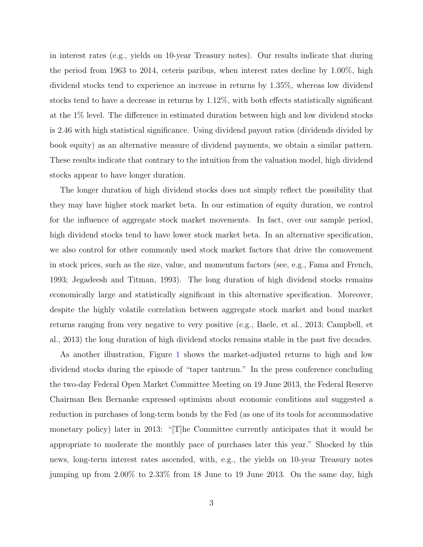in interest rates (e.g., yields on 10-year Treasury notes). Our results indicate that during the period from 1963 to 2014, ceteris paribus, when interest rates decline by 1.00%, high dividend stocks tend to experience an increase in returns by 1.35%, whereas low dividend stocks tend to have a decrease in returns by 1.12%, with both effects statistically significant at the 1% level. The difference in estimated duration between high and low dividend stocks is 2.46 with high statistical significance. Using dividend payout ratios (dividends divided by book equity) as an alternative measure of dividend payments, we obtain a similar pattern. These results indicate that contrary to the intuition from the valuation model, high dividend stocks appear to have longer duration.

The longer duration of high dividend stocks does not simply reflect the possibility that they may have higher stock market beta. In our estimation of equity duration, we control for the influence of aggregate stock market movements. In fact, over our sample period, high dividend stocks tend to have lower stock market beta. In an alternative specification, we also control for other commonly used stock market factors that drive the comovement in stock prices, such as the size, value, and momentum factors (see, e.g., Fama and French, 1993; Jegadeesh and Titman, 1993). The long duration of high dividend stocks remains economically large and statistically significant in this alternative specification. Moreover, despite the highly volatile correlation between aggregate stock market and bond market returns ranging from very negative to very positive (e.g., Baele, et al., 2013; Campbell, et al., 2013) the long duration of high dividend stocks remains stable in the past five decades.

As another illustration, Figure [1](#page-27-0) shows the market-adjusted returns to high and low dividend stocks during the episode of "taper tantrum." In the press conference concluding the two-day Federal Open Market Committee Meeting on 19 June 2013, the Federal Reserve Chairman Ben Bernanke expressed optimism about economic conditions and suggested a reduction in purchases of long-term bonds by the Fed (as one of its tools for accommodative monetary policy) later in 2013: "[T]he Committee currently anticipates that it would be appropriate to moderate the monthly pace of purchases later this year." Shocked by this news, long-term interest rates ascended, with, e.g., the yields on 10-year Treasury notes jumping up from 2.00% to 2.33% from 18 June to 19 June 2013. On the same day, high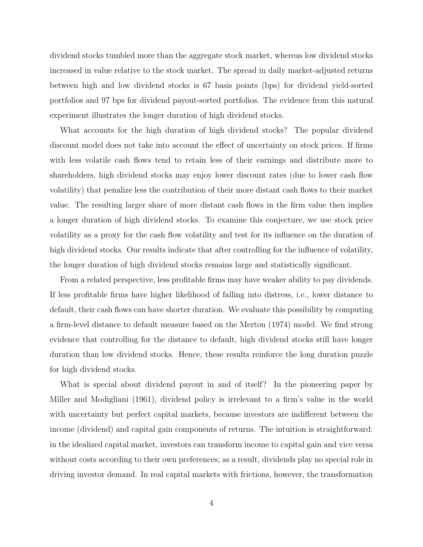dividend stocks tumbled more than the aggregate stock market, whereas low dividend stocks increased in value relative to the stock market. The spread in daily market-adjusted returns between high and low dividend stocks is 67 basis points (bps) for dividend yield-sorted portfolios and 97 bps for dividend payout-sorted portfolios. The evidence from this natural experiment illustrates the longer duration of high dividend stocks.

What accounts for the high duration of high dividend stocks? The popular dividend discount model does not take into account the effect of uncertainty on stock prices. If firms with less volatile cash flows tend to retain less of their earnings and distribute more to shareholders, high dividend stocks may enjoy lower discount rates (due to lower cash flow volatility) that penalize less the contribution of their more distant cash flows to their market value. The resulting larger share of more distant cash flows in the firm value then implies a longer duration of high dividend stocks. To examine this conjecture, we use stock price volatility as a proxy for the cash flow volatility and test for its influence on the duration of high dividend stocks. Our results indicate that after controlling for the influence of volatility, the longer duration of high dividend stocks remains large and statistically significant.

From a related perspective, less profitable firms may have weaker ability to pay dividends. If less profitable firms have higher likelihood of falling into distress, i.e., lower distance to default, their cash flows can have shorter duration. We evaluate this possibility by computing a firm-level distance to default measure based on the Merton (1974) model. We find strong evidence that controlling for the distance to default, high dividend stocks still have longer duration than low dividend stocks. Hence, these results reinforce the long duration puzzle for high dividend stocks.

What is special about dividend payout in and of itself? In the pioneering paper by Miller and Modigliani (1961), dividend policy is irrelevant to a firm's value in the world with uncertainty but perfect capital markets, because investors are indifferent between the income (dividend) and capital gain components of returns. The intuition is straightforward: in the idealized capital market, investors can transform income to capital gain and vice versa without costs according to their own preferences; as a result, dividends play no special role in driving investor demand. In real capital markets with frictions, however, the transformation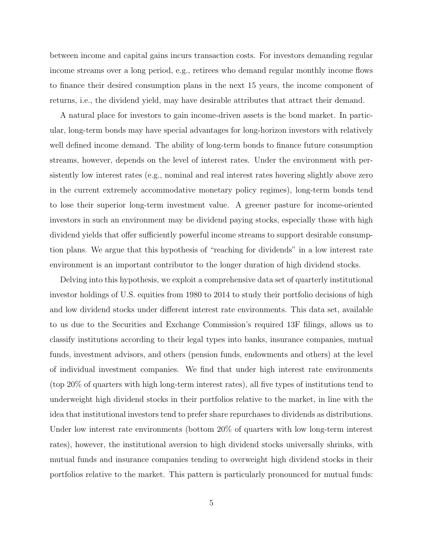between income and capital gains incurs transaction costs. For investors demanding regular income streams over a long period, e.g., retirees who demand regular monthly income flows to finance their desired consumption plans in the next 15 years, the income component of returns, i.e., the dividend yield, may have desirable attributes that attract their demand.

A natural place for investors to gain income-driven assets is the bond market. In particular, long-term bonds may have special advantages for long-horizon investors with relatively well defined income demand. The ability of long-term bonds to finance future consumption streams, however, depends on the level of interest rates. Under the environment with persistently low interest rates (e.g., nominal and real interest rates hovering slightly above zero in the current extremely accommodative monetary policy regimes), long-term bonds tend to lose their superior long-term investment value. A greener pasture for income-oriented investors in such an environment may be dividend paying stocks, especially those with high dividend yields that offer sufficiently powerful income streams to support desirable consumption plans. We argue that this hypothesis of "reaching for dividends" in a low interest rate environment is an important contributor to the longer duration of high dividend stocks.

Delving into this hypothesis, we exploit a comprehensive data set of quarterly institutional investor holdings of U.S. equities from 1980 to 2014 to study their portfolio decisions of high and low dividend stocks under different interest rate environments. This data set, available to us due to the Securities and Exchange Commission's required 13F filings, allows us to classify institutions according to their legal types into banks, insurance companies, mutual funds, investment advisors, and others (pension funds, endowments and others) at the level of individual investment companies. We find that under high interest rate environments (top 20% of quarters with high long-term interest rates), all five types of institutions tend to underweight high dividend stocks in their portfolios relative to the market, in line with the idea that institutional investors tend to prefer share repurchases to dividends as distributions. Under low interest rate environments (bottom 20% of quarters with low long-term interest rates), however, the institutional aversion to high dividend stocks universally shrinks, with mutual funds and insurance companies tending to overweight high dividend stocks in their portfolios relative to the market. This pattern is particularly pronounced for mutual funds: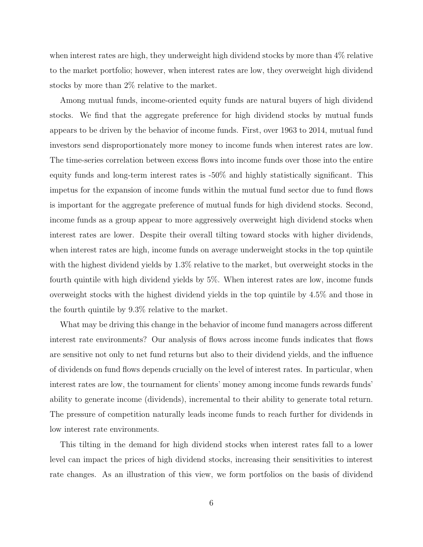when interest rates are high, they underweight high dividend stocks by more than 4% relative to the market portfolio; however, when interest rates are low, they overweight high dividend stocks by more than 2% relative to the market.

Among mutual funds, income-oriented equity funds are natural buyers of high dividend stocks. We find that the aggregate preference for high dividend stocks by mutual funds appears to be driven by the behavior of income funds. First, over 1963 to 2014, mutual fund investors send disproportionately more money to income funds when interest rates are low. The time-series correlation between excess flows into income funds over those into the entire equity funds and long-term interest rates is -50% and highly statistically significant. This impetus for the expansion of income funds within the mutual fund sector due to fund flows is important for the aggregate preference of mutual funds for high dividend stocks. Second, income funds as a group appear to more aggressively overweight high dividend stocks when interest rates are lower. Despite their overall tilting toward stocks with higher dividends, when interest rates are high, income funds on average underweight stocks in the top quintile with the highest dividend yields by 1.3% relative to the market, but overweight stocks in the fourth quintile with high dividend yields by 5%. When interest rates are low, income funds overweight stocks with the highest dividend yields in the top quintile by 4.5% and those in the fourth quintile by 9.3% relative to the market.

What may be driving this change in the behavior of income fund managers across different interest rate environments? Our analysis of flows across income funds indicates that flows are sensitive not only to net fund returns but also to their dividend yields, and the influence of dividends on fund flows depends crucially on the level of interest rates. In particular, when interest rates are low, the tournament for clients' money among income funds rewards funds' ability to generate income (dividends), incremental to their ability to generate total return. The pressure of competition naturally leads income funds to reach further for dividends in low interest rate environments.

This tilting in the demand for high dividend stocks when interest rates fall to a lower level can impact the prices of high dividend stocks, increasing their sensitivities to interest rate changes. As an illustration of this view, we form portfolios on the basis of dividend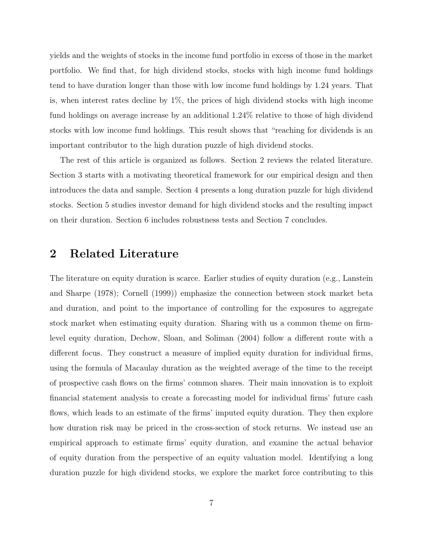yields and the weights of stocks in the income fund portfolio in excess of those in the market portfolio. We find that, for high dividend stocks, stocks with high income fund holdings tend to have duration longer than those with low income fund holdings by 1.24 years. That is, when interest rates decline by 1%, the prices of high dividend stocks with high income fund holdings on average increase by an additional 1.24% relative to those of high dividend stocks with low income fund holdings. This result shows that "reaching for dividends is an important contributor to the high duration puzzle of high dividend stocks.

The rest of this article is organized as follows. Section 2 reviews the related literature. Section 3 starts with a motivating theoretical framework for our empirical design and then introduces the data and sample. Section 4 presents a long duration puzzle for high dividend stocks. Section 5 studies investor demand for high dividend stocks and the resulting impact on their duration. Section 6 includes robustness tests and Section 7 concludes.

## 2 Related Literature

The literature on equity duration is scarce. Earlier studies of equity duration (e.g., Lanstein and Sharpe (1978); Cornell (1999)) emphasize the connection between stock market beta and duration, and point to the importance of controlling for the exposures to aggregate stock market when estimating equity duration. Sharing with us a common theme on firmlevel equity duration, Dechow, Sloan, and Soliman (2004) follow a different route with a different focus. They construct a measure of implied equity duration for individual firms, using the formula of Macaulay duration as the weighted average of the time to the receipt of prospective cash flows on the firms' common shares. Their main innovation is to exploit financial statement analysis to create a forecasting model for individual firms' future cash flows, which leads to an estimate of the firms' imputed equity duration. They then explore how duration risk may be priced in the cross-section of stock returns. We instead use an empirical approach to estimate firms' equity duration, and examine the actual behavior of equity duration from the perspective of an equity valuation model. Identifying a long duration puzzle for high dividend stocks, we explore the market force contributing to this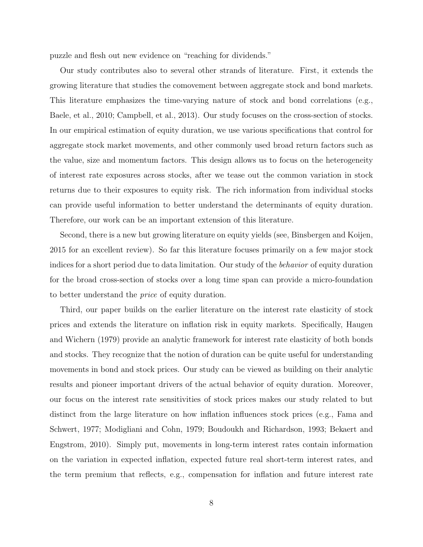puzzle and flesh out new evidence on "reaching for dividends."

Our study contributes also to several other strands of literature. First, it extends the growing literature that studies the comovement between aggregate stock and bond markets. This literature emphasizes the time-varying nature of stock and bond correlations (e.g., Baele, et al., 2010; Campbell, et al., 2013). Our study focuses on the cross-section of stocks. In our empirical estimation of equity duration, we use various specifications that control for aggregate stock market movements, and other commonly used broad return factors such as the value, size and momentum factors. This design allows us to focus on the heterogeneity of interest rate exposures across stocks, after we tease out the common variation in stock returns due to their exposures to equity risk. The rich information from individual stocks can provide useful information to better understand the determinants of equity duration. Therefore, our work can be an important extension of this literature.

Second, there is a new but growing literature on equity yields (see, Binsbergen and Koijen, 2015 for an excellent review). So far this literature focuses primarily on a few major stock indices for a short period due to data limitation. Our study of the behavior of equity duration for the broad cross-section of stocks over a long time span can provide a micro-foundation to better understand the price of equity duration.

Third, our paper builds on the earlier literature on the interest rate elasticity of stock prices and extends the literature on inflation risk in equity markets. Specifically, Haugen and Wichern (1979) provide an analytic framework for interest rate elasticity of both bonds and stocks. They recognize that the notion of duration can be quite useful for understanding movements in bond and stock prices. Our study can be viewed as building on their analytic results and pioneer important drivers of the actual behavior of equity duration. Moreover, our focus on the interest rate sensitivities of stock prices makes our study related to but distinct from the large literature on how inflation influences stock prices (e.g., Fama and Schwert, 1977; Modigliani and Cohn, 1979; Boudoukh and Richardson, 1993; Bekaert and Engstrom, 2010). Simply put, movements in long-term interest rates contain information on the variation in expected inflation, expected future real short-term interest rates, and the term premium that reflects, e.g., compensation for inflation and future interest rate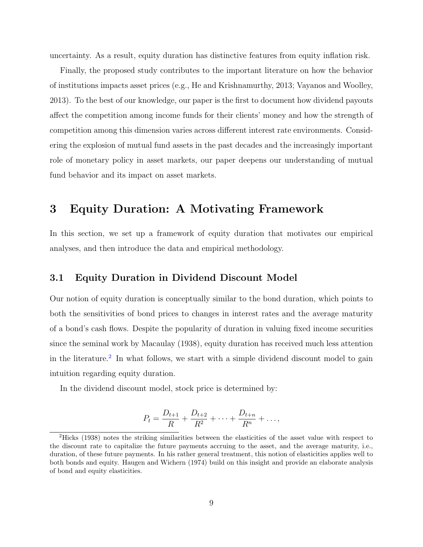uncertainty. As a result, equity duration has distinctive features from equity inflation risk.

Finally, the proposed study contributes to the important literature on how the behavior of institutions impacts asset prices (e.g., He and Krishnamurthy, 2013; Vayanos and Woolley, 2013). To the best of our knowledge, our paper is the first to document how dividend payouts affect the competition among income funds for their clients' money and how the strength of competition among this dimension varies across different interest rate environments. Considering the explosion of mutual fund assets in the past decades and the increasingly important role of monetary policy in asset markets, our paper deepens our understanding of mutual fund behavior and its impact on asset markets.

## <span id="page-8-0"></span>3 Equity Duration: A Motivating Framework

In this section, we set up a framework of equity duration that motivates our empirical analyses, and then introduce the data and empirical methodology.

### <span id="page-8-2"></span>3.1 Equity Duration in Dividend Discount Model

Our notion of equity duration is conceptually similar to the bond duration, which points to both the sensitivities of bond prices to changes in interest rates and the average maturity of a bond's cash flows. Despite the popularity of duration in valuing fixed income securities since the seminal work by Macaulay (1938), equity duration has received much less attention in the literature.<sup>[2](#page-8-1)</sup> In what follows, we start with a simple dividend discount model to gain intuition regarding equity duration.

In the dividend discount model, stock price is determined by:

$$
P_t = \frac{D_{t+1}}{R} + \frac{D_{t+2}}{R^2} + \dots + \frac{D_{t+n}}{R^n} + \dots,
$$

<span id="page-8-1"></span><sup>2</sup>Hicks (1938) notes the striking similarities between the elasticities of the asset value with respect to the discount rate to capitalize the future payments accruing to the asset, and the average maturity, i.e., duration, of these future payments. In his rather general treatment, this notion of elasticities applies well to both bonds and equity. Haugen and Wichern (1974) build on this insight and provide an elaborate analysis of bond and equity elasticities.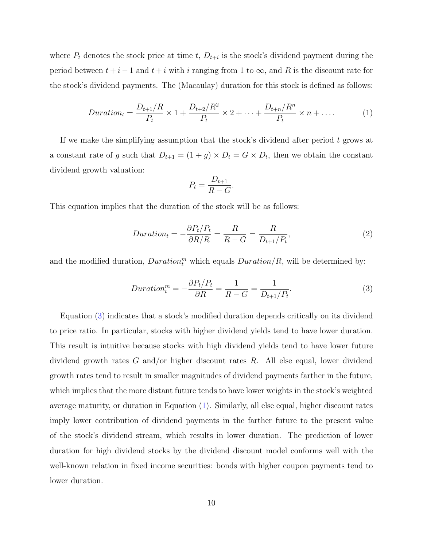where  $P_t$  denotes the stock price at time t,  $D_{t+i}$  is the stock's dividend payment during the period between  $t + i - 1$  and  $t + i$  with i ranging from 1 to  $\infty$ , and R is the discount rate for the stock's dividend payments. The (Macaulay) duration for this stock is defined as follows:

<span id="page-9-1"></span>
$$
Duration_t = \frac{D_{t+1}/R}{P_t} \times 1 + \frac{D_{t+2}/R^2}{P_t} \times 2 + \dots + \frac{D_{t+n}/R^n}{P_t} \times n + \dots
$$
 (1)

If we make the simplifying assumption that the stock's dividend after period  $t$  grows at a constant rate of g such that  $D_{t+1} = (1+g) \times D_t = G \times D_t$ , then we obtain the constant dividend growth valuation:

$$
P_t = \frac{D_{t+1}}{R - G}.
$$

This equation implies that the duration of the stock will be as follows:

$$
Duration_t = -\frac{\partial P_t/P_t}{\partial R/R} = \frac{R}{R - G} = \frac{R}{D_{t+1}/P_t},\tag{2}
$$

and the modified duration,  $Duration_t^m$  which equals  $Duration/R$ , will be determined by:

<span id="page-9-0"></span>
$$
Duration_t^m = -\frac{\partial P_t/P_t}{\partial R} = \frac{1}{R - G} = \frac{1}{D_{t+1}/P_t}.\tag{3}
$$

Equation [\(3\)](#page-9-0) indicates that a stock's modified duration depends critically on its dividend to price ratio. In particular, stocks with higher dividend yields tend to have lower duration. This result is intuitive because stocks with high dividend yields tend to have lower future dividend growth rates  $G$  and/or higher discount rates  $R$ . All else equal, lower dividend growth rates tend to result in smaller magnitudes of dividend payments farther in the future, which implies that the more distant future tends to have lower weights in the stock's weighted average maturity, or duration in Equation [\(1\)](#page-9-1). Similarly, all else equal, higher discount rates imply lower contribution of dividend payments in the farther future to the present value of the stock's dividend stream, which results in lower duration. The prediction of lower duration for high dividend stocks by the dividend discount model conforms well with the well-known relation in fixed income securities: bonds with higher coupon payments tend to lower duration.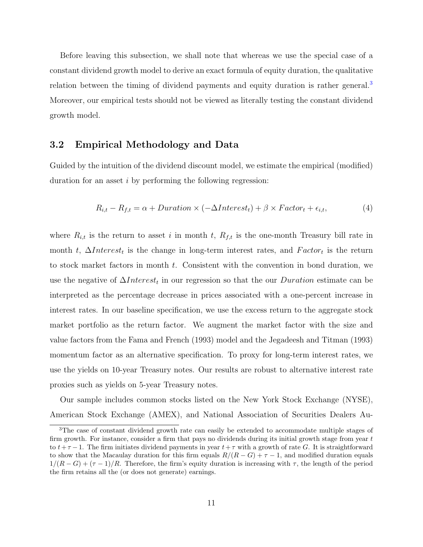Before leaving this subsection, we shall note that whereas we use the special case of a constant dividend growth model to derive an exact formula of equity duration, the qualitative relation between the timing of dividend payments and equity duration is rather general.<sup>[3](#page-10-0)</sup> Moreover, our empirical tests should not be viewed as literally testing the constant dividend growth model.

### 3.2 Empirical Methodology and Data

Guided by the intuition of the dividend discount model, we estimate the empirical (modified) duration for an asset i by performing the following regression:

<span id="page-10-1"></span>
$$
R_{i,t} - R_{f,t} = \alpha + \text{Duration} \times (-\Delta \text{Interest}_t) + \beta \times \text{Factor}_t + \epsilon_{i,t}, \tag{4}
$$

where  $R_{i,t}$  is the return to asset i in month t,  $R_{f,t}$  is the one-month Treasury bill rate in month t,  $\Delta Interest_t$  is the change in long-term interest rates, and  $Factor_t$  is the return to stock market factors in month t. Consistent with the convention in bond duration, we use the negative of  $\Delta Interest_t$  in our regression so that the our *Duration* estimate can be interpreted as the percentage decrease in prices associated with a one-percent increase in interest rates. In our baseline specification, we use the excess return to the aggregate stock market portfolio as the return factor. We augment the market factor with the size and value factors from the Fama and French (1993) model and the Jegadeesh and Titman (1993) momentum factor as an alternative specification. To proxy for long-term interest rates, we use the yields on 10-year Treasury notes. Our results are robust to alternative interest rate proxies such as yields on 5-year Treasury notes.

Our sample includes common stocks listed on the New York Stock Exchange (NYSE), American Stock Exchange (AMEX), and National Association of Securities Dealers Au-

<span id="page-10-0"></span><sup>&</sup>lt;sup>3</sup>The case of constant dividend growth rate can easily be extended to accommodate multiple stages of firm growth. For instance, consider a firm that pays no dividends during its initial growth stage from year t to  $t+\tau-1$ . The firm initiates dividend payments in year  $t+\tau$  with a growth of rate G. It is straightforward to show that the Macaulay duration for this firm equals  $R/(R - G) + \tau - 1$ , and modified duration equals  $1/(R - G) + (\tau - 1)/R$ . Therefore, the firm's equity duration is increasing with  $\tau$ , the length of the period the firm retains all the (or does not generate) earnings.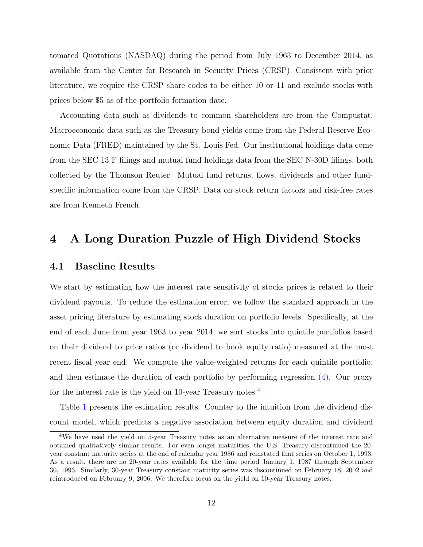tomated Quotations (NASDAQ) during the period from July 1963 to December 2014, as available from the Center for Research in Security Prices (CRSP). Consistent with prior literature, we require the CRSP share codes to be either 10 or 11 and exclude stocks with prices below \$5 as of the portfolio formation date.

Accounting data such as dividends to common shareholders are from the Compustat. Macroeconomic data such as the Treasury bond yields come from the Federal Reserve Economic Data (FRED) maintained by the St. Louis Fed. Our institutional holdings data come from the SEC 13 F filings and mutual fund holdings data from the SEC N-30D filings, both collected by the Thomson Reuter. Mutual fund returns, flows, dividends and other fundspecific information come from the CRSP. Data on stock return factors and risk-free rates are from Kenneth French.

## 4 A Long Duration Puzzle of High Dividend Stocks

### 4.1 Baseline Results

We start by estimating how the interest rate sensitivity of stocks prices is related to their dividend payouts. To reduce the estimation error, we follow the standard approach in the asset pricing literature by estimating stock duration on portfolio levels. Specifically, at the end of each June from year 1963 to year 2014, we sort stocks into quintile portfolios based on their dividend to price ratios (or dividend to book equity ratio) measured at the most recent fiscal year end. We compute the value-weighted returns for each quintile portfolio, and then estimate the duration of each portfolio by performing regression [\(4\)](#page-10-1). Our proxy for the interest rate is the yield on 10-year Treasury notes.<sup>[4](#page-11-0)</sup>

Table [1](#page-32-0) presents the estimation results. Counter to the intuition from the dividend discount model, which predicts a negative association between equity duration and dividend

<span id="page-11-0"></span><sup>4</sup>We have used the yield on 5-year Treasury notes as an alternative measure of the interest rate and obtained qualitatively similar results. For even longer maturities, the U.S. Treasury discontinued the 20 year constant maturity series at the end of calendar year 1986 and reinstated that series on October 1, 1993. As a result, there are no 20-year rates available for the time period January 1, 1987 through September 30, 1993. Similarly, 30-year Treasury constant maturity series was discontinued on February 18, 2002 and reintroduced on February 9, 2006. We therefore focus on the yield on 10-year Treasury notes.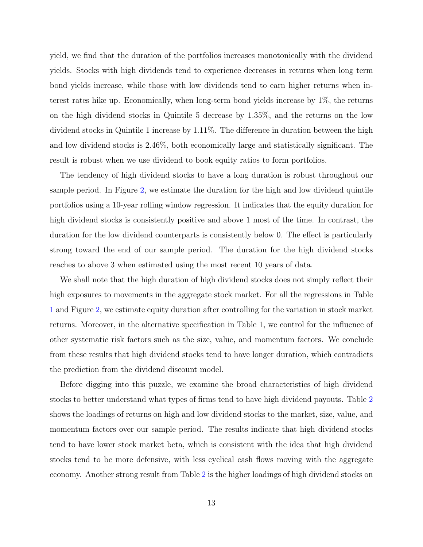yield, we find that the duration of the portfolios increases monotonically with the dividend yields. Stocks with high dividends tend to experience decreases in returns when long term bond yields increase, while those with low dividends tend to earn higher returns when interest rates hike up. Economically, when long-term bond yields increase by 1%, the returns on the high dividend stocks in Quintile 5 decrease by 1.35%, and the returns on the low dividend stocks in Quintile 1 increase by 1.11%. The difference in duration between the high and low dividend stocks is 2.46%, both economically large and statistically significant. The result is robust when we use dividend to book equity ratios to form portfolios.

The tendency of high dividend stocks to have a long duration is robust throughout our sample period. In Figure [2,](#page-28-0) we estimate the duration for the high and low dividend quintile portfolios using a 10-year rolling window regression. It indicates that the equity duration for high dividend stocks is consistently positive and above 1 most of the time. In contrast, the duration for the low dividend counterparts is consistently below 0. The effect is particularly strong toward the end of our sample period. The duration for the high dividend stocks reaches to above 3 when estimated using the most recent 10 years of data.

We shall note that the high duration of high dividend stocks does not simply reflect their high exposures to movements in the aggregate stock market. For all the regressions in Table [1](#page-32-0) and Figure [2,](#page-28-0) we estimate equity duration after controlling for the variation in stock market returns. Moreover, in the alternative specification in Table 1, we control for the influence of other systematic risk factors such as the size, value, and momentum factors. We conclude from these results that high dividend stocks tend to have longer duration, which contradicts the prediction from the dividend discount model.

Before digging into this puzzle, we examine the broad characteristics of high dividend stocks to better understand what types of firms tend to have high dividend payouts. Table [2](#page-33-0) shows the loadings of returns on high and low dividend stocks to the market, size, value, and momentum factors over our sample period. The results indicate that high dividend stocks tend to have lower stock market beta, which is consistent with the idea that high dividend stocks tend to be more defensive, with less cyclical cash flows moving with the aggregate economy. Another strong result from Table [2](#page-33-0) is the higher loadings of high dividend stocks on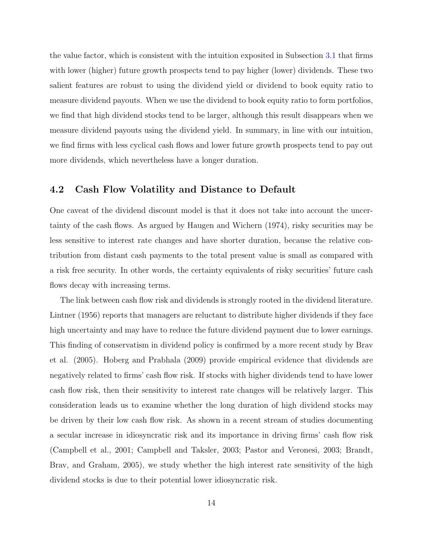the value factor, which is consistent with the intuition exposited in Subsection [3.1](#page-8-2) that firms with lower (higher) future growth prospects tend to pay higher (lower) dividends. These two salient features are robust to using the dividend yield or dividend to book equity ratio to measure dividend payouts. When we use the dividend to book equity ratio to form portfolios, we find that high dividend stocks tend to be larger, although this result disappears when we measure dividend payouts using the dividend yield. In summary, in line with our intuition, we find firms with less cyclical cash flows and lower future growth prospects tend to pay out more dividends, which nevertheless have a longer duration.

### 4.2 Cash Flow Volatility and Distance to Default

One caveat of the dividend discount model is that it does not take into account the uncertainty of the cash flows. As argued by Haugen and Wichern (1974), risky securities may be less sensitive to interest rate changes and have shorter duration, because the relative contribution from distant cash payments to the total present value is small as compared with a risk free security. In other words, the certainty equivalents of risky securities' future cash flows decay with increasing terms.

The link between cash flow risk and dividends is strongly rooted in the dividend literature. Lintner (1956) reports that managers are reluctant to distribute higher dividends if they face high uncertainty and may have to reduce the future dividend payment due to lower earnings. This finding of conservatism in dividend policy is confirmed by a more recent study by Brav et al. (2005). Hoberg and Prabhala (2009) provide empirical evidence that dividends are negatively related to firms' cash flow risk. If stocks with higher dividends tend to have lower cash flow risk, then their sensitivity to interest rate changes will be relatively larger. This consideration leads us to examine whether the long duration of high dividend stocks may be driven by their low cash flow risk. As shown in a recent stream of studies documenting a secular increase in idiosyncratic risk and its importance in driving firms' cash flow risk (Campbell et al., 2001; Campbell and Taksler, 2003; Pastor and Veronesi, 2003; Brandt, Brav, and Graham, 2005), we study whether the high interest rate sensitivity of the high dividend stocks is due to their potential lower idiosyncratic risk.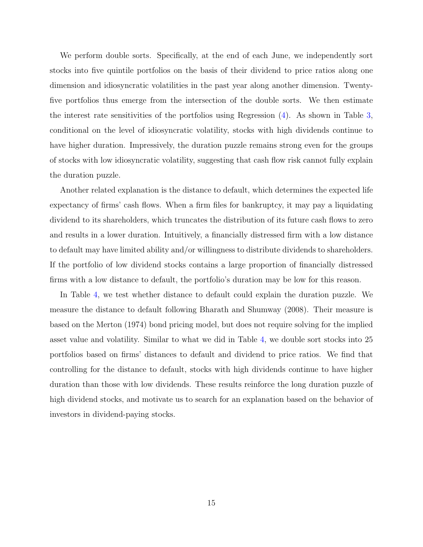We perform double sorts. Specifically, at the end of each June, we independently sort stocks into five quintile portfolios on the basis of their dividend to price ratios along one dimension and idiosyncratic volatilities in the past year along another dimension. Twentyfive portfolios thus emerge from the intersection of the double sorts. We then estimate the interest rate sensitivities of the portfolios using Regression [\(4\)](#page-10-1). As shown in Table [3,](#page-34-0) conditional on the level of idiosyncratic volatility, stocks with high dividends continue to have higher duration. Impressively, the duration puzzle remains strong even for the groups of stocks with low idiosyncratic volatility, suggesting that cash flow risk cannot fully explain the duration puzzle.

Another related explanation is the distance to default, which determines the expected life expectancy of firms' cash flows. When a firm files for bankruptcy, it may pay a liquidating dividend to its shareholders, which truncates the distribution of its future cash flows to zero and results in a lower duration. Intuitively, a financially distressed firm with a low distance to default may have limited ability and/or willingness to distribute dividends to shareholders. If the portfolio of low dividend stocks contains a large proportion of financially distressed firms with a low distance to default, the portfolio's duration may be low for this reason.

In Table [4,](#page-35-0) we test whether distance to default could explain the duration puzzle. We measure the distance to default following Bharath and Shumway (2008). Their measure is based on the Merton (1974) bond pricing model, but does not require solving for the implied asset value and volatility. Similar to what we did in Table [4,](#page-35-0) we double sort stocks into 25 portfolios based on firms' distances to default and dividend to price ratios. We find that controlling for the distance to default, stocks with high dividends continue to have higher duration than those with low dividends. These results reinforce the long duration puzzle of high dividend stocks, and motivate us to search for an explanation based on the behavior of investors in dividend-paying stocks.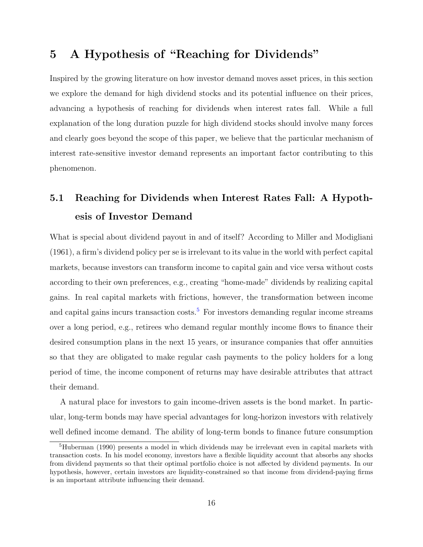## 5 A Hypothesis of "Reaching for Dividends"

Inspired by the growing literature on how investor demand moves asset prices, in this section we explore the demand for high dividend stocks and its potential influence on their prices, advancing a hypothesis of reaching for dividends when interest rates fall. While a full explanation of the long duration puzzle for high dividend stocks should involve many forces and clearly goes beyond the scope of this paper, we believe that the particular mechanism of interest rate-sensitive investor demand represents an important factor contributing to this phenomenon.

# 5.1 Reaching for Dividends when Interest Rates Fall: A Hypothesis of Investor Demand

What is special about dividend payout in and of itself? According to Miller and Modigliani (1961), a firm's dividend policy per se is irrelevant to its value in the world with perfect capital markets, because investors can transform income to capital gain and vice versa without costs according to their own preferences, e.g., creating "home-made" dividends by realizing capital gains. In real capital markets with frictions, however, the transformation between income and capital gains incurs transaction  $\cos s$ <sup>[5](#page-15-0)</sup>. For investors demanding regular income streams over a long period, e.g., retirees who demand regular monthly income flows to finance their desired consumption plans in the next 15 years, or insurance companies that offer annuities so that they are obligated to make regular cash payments to the policy holders for a long period of time, the income component of returns may have desirable attributes that attract their demand.

A natural place for investors to gain income-driven assets is the bond market. In particular, long-term bonds may have special advantages for long-horizon investors with relatively well defined income demand. The ability of long-term bonds to finance future consumption

<span id="page-15-0"></span><sup>&</sup>lt;sup>5</sup>Huberman (1990) presents a model in which dividends may be irrelevant even in capital markets with transaction costs. In his model economy, investors have a flexible liquidity account that absorbs any shocks from dividend payments so that their optimal portfolio choice is not affected by dividend payments. In our hypothesis, however, certain investors are liquidity-constrained so that income from dividend-paying firms is an important attribute influencing their demand.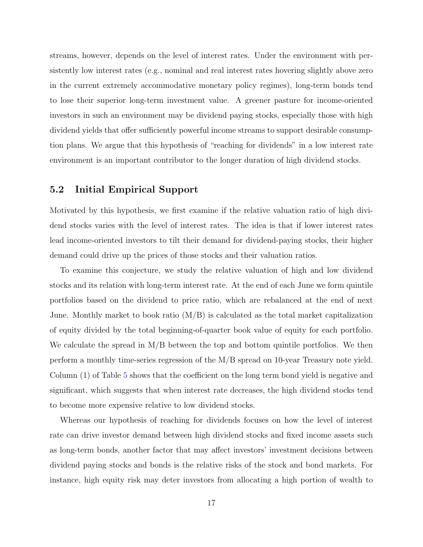streams, however, depends on the level of interest rates. Under the environment with persistently low interest rates (e.g., nominal and real interest rates hovering slightly above zero in the current extremely accommodative monetary policy regimes), long-term bonds tend to lose their superior long-term investment value. A greener pasture for income-oriented investors in such an environment may be dividend paying stocks, especially those with high dividend yields that offer sufficiently powerful income streams to support desirable consumption plans. We argue that this hypothesis of "reaching for dividends" in a low interest rate environment is an important contributor to the longer duration of high dividend stocks.

### 5.2 Initial Empirical Support

Motivated by this hypothesis, we first examine if the relative valuation ratio of high dividend stocks varies with the level of interest rates. The idea is that if lower interest rates lead income-oriented investors to tilt their demand for dividend-paying stocks, their higher demand could drive up the prices of those stocks and their valuation ratios.

To examine this conjecture, we study the relative valuation of high and low dividend stocks and its relation with long-term interest rate. At the end of each June we form quintile portfolios based on the dividend to price ratio, which are rebalanced at the end of next June. Monthly market to book ratio  $(M/B)$  is calculated as the total market capitalization of equity divided by the total beginning-of-quarter book value of equity for each portfolio. We calculate the spread in  $M/B$  between the top and bottom quintile portfolios. We then perform a monthly time-series regression of the M/B spread on 10-year Treasury note yield. Column (1) of Table [5](#page-36-0) shows that the coefficient on the long term bond yield is negative and significant, which suggests that when interest rate decreases, the high dividend stocks tend to become more expensive relative to low dividend stocks.

Whereas our hypothesis of reaching for dividends focuses on how the level of interest rate can drive investor demand between high dividend stocks and fixed income assets such as long-term bonds, another factor that may affect investors' investment decisions between dividend paying stocks and bonds is the relative risks of the stock and bond markets. For instance, high equity risk may deter investors from allocating a high portion of wealth to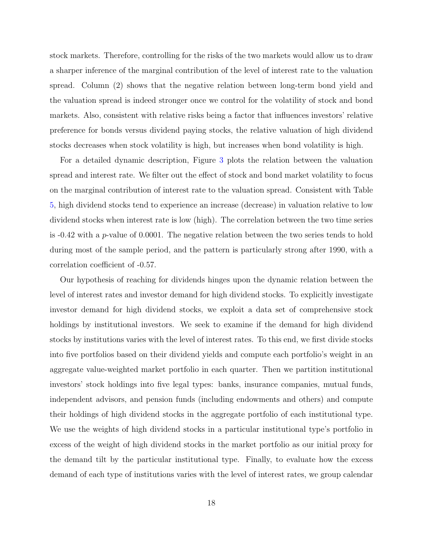stock markets. Therefore, controlling for the risks of the two markets would allow us to draw a sharper inference of the marginal contribution of the level of interest rate to the valuation spread. Column (2) shows that the negative relation between long-term bond yield and the valuation spread is indeed stronger once we control for the volatility of stock and bond markets. Also, consistent with relative risks being a factor that influences investors' relative preference for bonds versus dividend paying stocks, the relative valuation of high dividend stocks decreases when stock volatility is high, but increases when bond volatility is high.

For a detailed dynamic description, Figure [3](#page-29-0) plots the relation between the valuation spread and interest rate. We filter out the effect of stock and bond market volatility to focus on the marginal contribution of interest rate to the valuation spread. Consistent with Table [5,](#page-36-0) high dividend stocks tend to experience an increase (decrease) in valuation relative to low dividend stocks when interest rate is low (high). The correlation between the two time series is  $-0.42$  with a p-value of 0.0001. The negative relation between the two series tends to hold during most of the sample period, and the pattern is particularly strong after 1990, with a correlation coefficient of -0.57.

Our hypothesis of reaching for dividends hinges upon the dynamic relation between the level of interest rates and investor demand for high dividend stocks. To explicitly investigate investor demand for high dividend stocks, we exploit a data set of comprehensive stock holdings by institutional investors. We seek to examine if the demand for high dividend stocks by institutions varies with the level of interest rates. To this end, we first divide stocks into five portfolios based on their dividend yields and compute each portfolio's weight in an aggregate value-weighted market portfolio in each quarter. Then we partition institutional investors' stock holdings into five legal types: banks, insurance companies, mutual funds, independent advisors, and pension funds (including endowments and others) and compute their holdings of high dividend stocks in the aggregate portfolio of each institutional type. We use the weights of high dividend stocks in a particular institutional type's portfolio in excess of the weight of high dividend stocks in the market portfolio as our initial proxy for the demand tilt by the particular institutional type. Finally, to evaluate how the excess demand of each type of institutions varies with the level of interest rates, we group calendar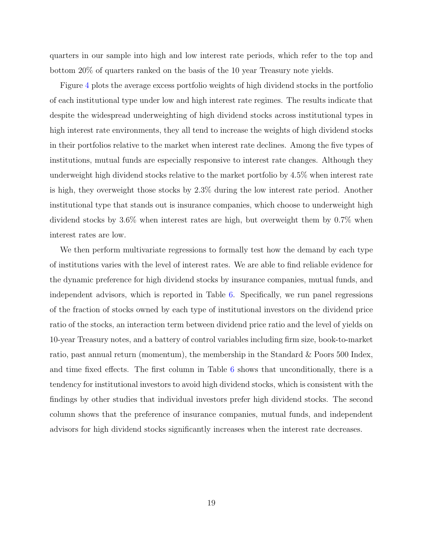quarters in our sample into high and low interest rate periods, which refer to the top and bottom 20% of quarters ranked on the basis of the 10 year Treasury note yields.

Figure [4](#page-30-0) plots the average excess portfolio weights of high dividend stocks in the portfolio of each institutional type under low and high interest rate regimes. The results indicate that despite the widespread underweighting of high dividend stocks across institutional types in high interest rate environments, they all tend to increase the weights of high dividend stocks in their portfolios relative to the market when interest rate declines. Among the five types of institutions, mutual funds are especially responsive to interest rate changes. Although they underweight high dividend stocks relative to the market portfolio by 4.5% when interest rate is high, they overweight those stocks by 2.3% during the low interest rate period. Another institutional type that stands out is insurance companies, which choose to underweight high dividend stocks by 3.6% when interest rates are high, but overweight them by 0.7% when interest rates are low.

We then perform multivariate regressions to formally test how the demand by each type of institutions varies with the level of interest rates. We are able to find reliable evidence for the dynamic preference for high dividend stocks by insurance companies, mutual funds, and independent advisors, which is reported in Table [6.](#page-37-0) Specifically, we run panel regressions of the fraction of stocks owned by each type of institutional investors on the dividend price ratio of the stocks, an interaction term between dividend price ratio and the level of yields on 10-year Treasury notes, and a battery of control variables including firm size, book-to-market ratio, past annual return (momentum), the membership in the Standard & Poors 500 Index, and time fixed effects. The first column in Table [6](#page-37-0) shows that unconditionally, there is a tendency for institutional investors to avoid high dividend stocks, which is consistent with the findings by other studies that individual investors prefer high dividend stocks. The second column shows that the preference of insurance companies, mutual funds, and independent advisors for high dividend stocks significantly increases when the interest rate decreases.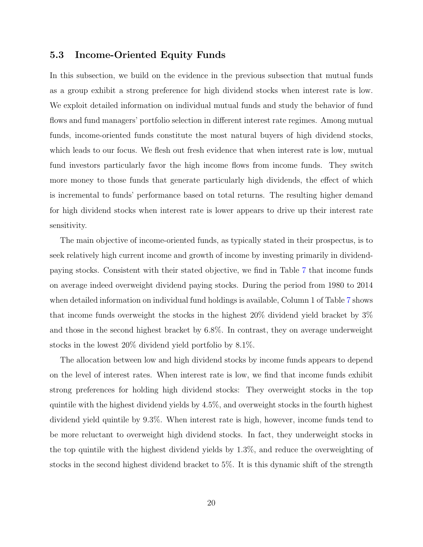### 5.3 Income-Oriented Equity Funds

In this subsection, we build on the evidence in the previous subsection that mutual funds as a group exhibit a strong preference for high dividend stocks when interest rate is low. We exploit detailed information on individual mutual funds and study the behavior of fund flows and fund managers' portfolio selection in different interest rate regimes. Among mutual funds, income-oriented funds constitute the most natural buyers of high dividend stocks, which leads to our focus. We flesh out fresh evidence that when interest rate is low, mutual fund investors particularly favor the high income flows from income funds. They switch more money to those funds that generate particularly high dividends, the effect of which is incremental to funds' performance based on total returns. The resulting higher demand for high dividend stocks when interest rate is lower appears to drive up their interest rate sensitivity.

The main objective of income-oriented funds, as typically stated in their prospectus, is to seek relatively high current income and growth of income by investing primarily in dividendpaying stocks. Consistent with their stated objective, we find in Table [7](#page-38-0) that income funds on average indeed overweight dividend paying stocks. During the period from 1980 to 2014 when detailed information on individual fund holdings is available, Column 1 of Table [7](#page-38-0) shows that income funds overweight the stocks in the highest 20% dividend yield bracket by 3% and those in the second highest bracket by 6.8%. In contrast, they on average underweight stocks in the lowest 20% dividend yield portfolio by 8.1%.

The allocation between low and high dividend stocks by income funds appears to depend on the level of interest rates. When interest rate is low, we find that income funds exhibit strong preferences for holding high dividend stocks: They overweight stocks in the top quintile with the highest dividend yields by 4.5%, and overweight stocks in the fourth highest dividend yield quintile by 9.3%. When interest rate is high, however, income funds tend to be more reluctant to overweight high dividend stocks. In fact, they underweight stocks in the top quintile with the highest dividend yields by 1.3%, and reduce the overweighting of stocks in the second highest dividend bracket to 5%. It is this dynamic shift of the strength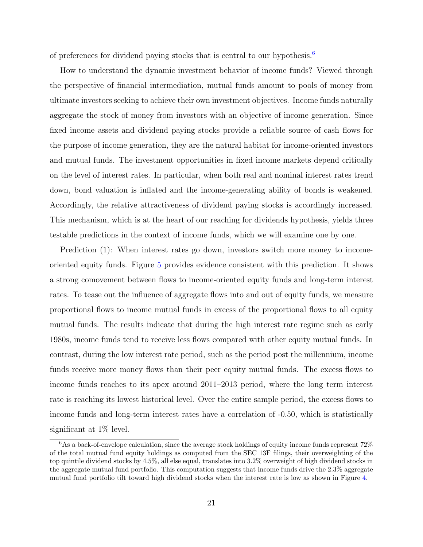of preferences for dividend paying stocks that is central to our hypothesis.[6](#page-20-0)

How to understand the dynamic investment behavior of income funds? Viewed through the perspective of financial intermediation, mutual funds amount to pools of money from ultimate investors seeking to achieve their own investment objectives. Income funds naturally aggregate the stock of money from investors with an objective of income generation. Since fixed income assets and dividend paying stocks provide a reliable source of cash flows for the purpose of income generation, they are the natural habitat for income-oriented investors and mutual funds. The investment opportunities in fixed income markets depend critically on the level of interest rates. In particular, when both real and nominal interest rates trend down, bond valuation is inflated and the income-generating ability of bonds is weakened. Accordingly, the relative attractiveness of dividend paying stocks is accordingly increased. This mechanism, which is at the heart of our reaching for dividends hypothesis, yields three testable predictions in the context of income funds, which we will examine one by one.

Prediction  $(1)$ : When interest rates go down, investors switch more money to incomeoriented equity funds. Figure [5](#page-31-0) provides evidence consistent with this prediction. It shows a strong comovement between flows to income-oriented equity funds and long-term interest rates. To tease out the influence of aggregate flows into and out of equity funds, we measure proportional flows to income mutual funds in excess of the proportional flows to all equity mutual funds. The results indicate that during the high interest rate regime such as early 1980s, income funds tend to receive less flows compared with other equity mutual funds. In contrast, during the low interest rate period, such as the period post the millennium, income funds receive more money flows than their peer equity mutual funds. The excess flows to income funds reaches to its apex around 2011–2013 period, where the long term interest rate is reaching its lowest historical level. Over the entire sample period, the excess flows to income funds and long-term interest rates have a correlation of -0.50, which is statistically significant at 1% level.

<span id="page-20-0"></span> $6$ As a back-of-envelope calculation, since the average stock holdings of equity income funds represent  $72\%$ of the total mutual fund equity holdings as computed from the SEC 13F filings, their overweighting of the top quintile dividend stocks by 4.5%, all else equal, translates into 3.2% overweight of high dividend stocks in the aggregate mutual fund portfolio. This computation suggests that income funds drive the 2.3% aggregate mutual fund portfolio tilt toward high dividend stocks when the interest rate is low as shown in Figure [4.](#page-30-0)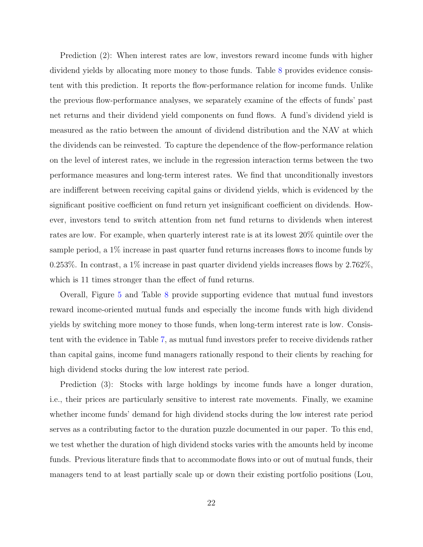Prediction (2): When interest rates are low, investors reward income funds with higher dividend yields by allocating more money to those funds. Table [8](#page-39-0) provides evidence consistent with this prediction. It reports the flow-performance relation for income funds. Unlike the previous flow-performance analyses, we separately examine of the effects of funds' past net returns and their dividend yield components on fund flows. A fund's dividend yield is measured as the ratio between the amount of dividend distribution and the NAV at which the dividends can be reinvested. To capture the dependence of the flow-performance relation on the level of interest rates, we include in the regression interaction terms between the two performance measures and long-term interest rates. We find that unconditionally investors are indifferent between receiving capital gains or dividend yields, which is evidenced by the significant positive coefficient on fund return yet insignificant coefficient on dividends. However, investors tend to switch attention from net fund returns to dividends when interest rates are low. For example, when quarterly interest rate is at its lowest 20% quintile over the sample period, a 1% increase in past quarter fund returns increases flows to income funds by 0.253%. In contrast, a 1% increase in past quarter dividend yields increases flows by 2.762%, which is 11 times stronger than the effect of fund returns.

Overall, Figure [5](#page-31-0) and Table [8](#page-39-0) provide supporting evidence that mutual fund investors reward income-oriented mutual funds and especially the income funds with high dividend yields by switching more money to those funds, when long-term interest rate is low. Consistent with the evidence in Table [7,](#page-38-0) as mutual fund investors prefer to receive dividends rather than capital gains, income fund managers rationally respond to their clients by reaching for high dividend stocks during the low interest rate period.

Prediction (3): Stocks with large holdings by income funds have a longer duration, i.e., their prices are particularly sensitive to interest rate movements. Finally, we examine whether income funds' demand for high dividend stocks during the low interest rate period serves as a contributing factor to the duration puzzle documented in our paper. To this end, we test whether the duration of high dividend stocks varies with the amounts held by income funds. Previous literature finds that to accommodate flows into or out of mutual funds, their managers tend to at least partially scale up or down their existing portfolio positions (Lou,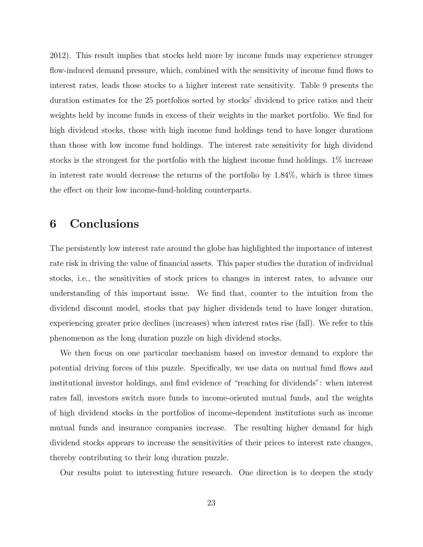2012). This result implies that stocks held more by income funds may experience stronger flow-induced demand pressure, which, combined with the sensitivity of income fund flows to interest rates, leads those stocks to a higher interest rate sensitivity. Table [9](#page-40-0) presents the duration estimates for the 25 portfolios sorted by stocks' dividend to price ratios and their weights held by income funds in excess of their weights in the market portfolio. We find for high dividend stocks, those with high income fund holdings tend to have longer durations than those with low income fund holdings. The interest rate sensitivity for high dividend stocks is the strongest for the portfolio with the highest income fund holdings. 1% increase in interest rate would decrease the returns of the portfolio by 1.84%, which is three times the effect on their low income-fund-holding counterparts.

## 6 Conclusions

The persistently low interest rate around the globe has highlighted the importance of interest rate risk in driving the value of financial assets. This paper studies the duration of individual stocks, i.e., the sensitivities of stock prices to changes in interest rates, to advance our understanding of this important issue. We find that, counter to the intuition from the dividend discount model, stocks that pay higher dividends tend to have longer duration, experiencing greater price declines (increases) when interest rates rise (fall). We refer to this phenomenon as the long duration puzzle on high dividend stocks.

We then focus on one particular mechanism based on investor demand to explore the potential driving forces of this puzzle. Specifically, we use data on mutual fund flows and institutional investor holdings, and find evidence of "reaching for dividends": when interest rates fall, investors switch more funds to income-oriented mutual funds, and the weights of high dividend stocks in the portfolios of income-dependent institutions such as income mutual funds and insurance companies increase. The resulting higher demand for high dividend stocks appears to increase the sensitivities of their prices to interest rate changes, thereby contributing to their long duration puzzle.

Our results point to interesting future research. One direction is to deepen the study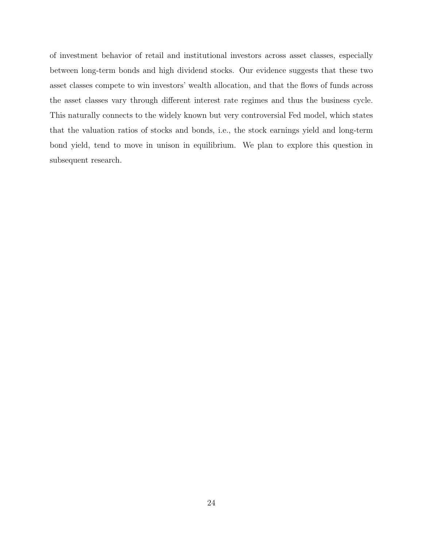of investment behavior of retail and institutional investors across asset classes, especially between long-term bonds and high dividend stocks. Our evidence suggests that these two asset classes compete to win investors' wealth allocation, and that the flows of funds across the asset classes vary through different interest rate regimes and thus the business cycle. This naturally connects to the widely known but very controversial Fed model, which states that the valuation ratios of stocks and bonds, i.e., the stock earnings yield and long-term bond yield, tend to move in unison in equilibrium. We plan to explore this question in subsequent research.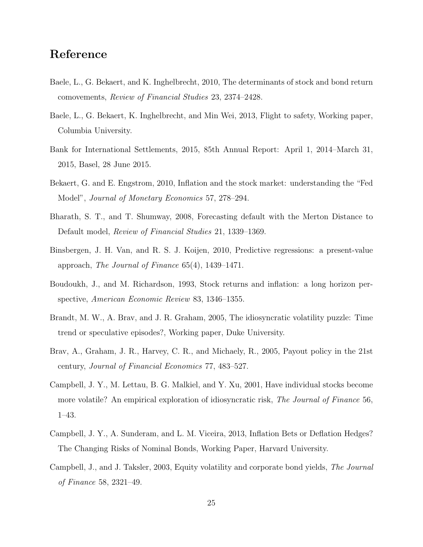## Reference

- Baele, L., G. Bekaert, and K. Inghelbrecht, 2010, The determinants of stock and bond return comovements, Review of Financial Studies 23, 2374–2428.
- Baele, L., G. Bekaert, K. Inghelbrecht, and Min Wei, 2013, Flight to safety, Working paper, Columbia University.
- Bank for International Settlements, 2015, 85th Annual Report: April 1, 2014–March 31, 2015, Basel, 28 June 2015.
- Bekaert, G. and E. Engstrom, 2010, Inflation and the stock market: understanding the "Fed Model", *Journal of Monetary Economics* 57, 278–294.
- Bharath, S. T., and T. Shumway, 2008, Forecasting default with the Merton Distance to Default model, Review of Financial Studies 21, 1339–1369.
- Binsbergen, J. H. Van, and R. S. J. Koijen, 2010, Predictive regressions: a present-value approach, The Journal of Finance 65(4), 1439–1471.
- Boudoukh, J., and M. Richardson, 1993, Stock returns and inflation: a long horizon perspective, American Economic Review 83, 1346–1355.
- Brandt, M. W., A. Brav, and J. R. Graham, 2005, The idiosyncratic volatility puzzle: Time trend or speculative episodes?, Working paper, Duke University.
- Brav, A., Graham, J. R., Harvey, C. R., and Michaely, R., 2005, Payout policy in the 21st century, Journal of Financial Economics 77, 483–527.
- Campbell, J. Y., M. Lettau, B. G. Malkiel, and Y. Xu, 2001, Have individual stocks become more volatile? An empirical exploration of idiosyncratic risk, *The Journal of Finance* 56, 1–43.
- Campbell, J. Y., A. Sunderam, and L. M. Viceira, 2013, Inflation Bets or Deflation Hedges? The Changing Risks of Nominal Bonds, Working Paper, Harvard University.
- Campbell, J., and J. Taksler, 2003, Equity volatility and corporate bond yields, The Journal of Finance 58, 2321–49.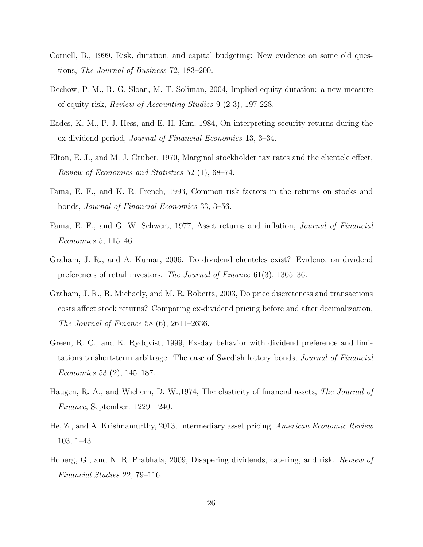- Cornell, B., 1999, Risk, duration, and capital budgeting: New evidence on some old questions, The Journal of Business 72, 183–200.
- Dechow, P. M., R. G. Sloan, M. T. Soliman, 2004, Implied equity duration: a new measure of equity risk, Review of Accounting Studies 9 (2-3), 197-228.
- Eades, K. M., P. J. Hess, and E. H. Kim, 1984, On interpreting security returns during the ex-dividend period, Journal of Financial Economics 13, 3–34.
- Elton, E. J., and M. J. Gruber, 1970, Marginal stockholder tax rates and the clientele effect, Review of Economics and Statistics 52 (1), 68–74.
- Fama, E. F., and K. R. French, 1993, Common risk factors in the returns on stocks and bonds, Journal of Financial Economics 33, 3–56.
- Fama, E. F., and G. W. Schwert, 1977, Asset returns and inflation, Journal of Financial Economics 5, 115–46.
- Graham, J. R., and A. Kumar, 2006. Do dividend clienteles exist? Evidence on dividend preferences of retail investors. The Journal of Finance 61(3), 1305–36.
- Graham, J. R., R. Michaely, and M. R. Roberts, 2003, Do price discreteness and transactions costs affect stock returns? Comparing ex-dividend pricing before and after decimalization, The Journal of Finance 58 (6), 2611–2636.
- Green, R. C., and K. Rydqvist, 1999, Ex-day behavior with dividend preference and limitations to short-term arbitrage: The case of Swedish lottery bonds, Journal of Financial Economics 53 (2), 145–187.
- Haugen, R. A., and Wichern, D. W., 1974, The elasticity of financial assets, The Journal of Finance, September: 1229–1240.
- He, Z., and A. Krishnamurthy, 2013, Intermediary asset pricing, American Economic Review 103, 1–43.
- Hoberg, G., and N. R. Prabhala, 2009, Disapering dividends, catering, and risk. Review of Financial Studies 22, 79–116.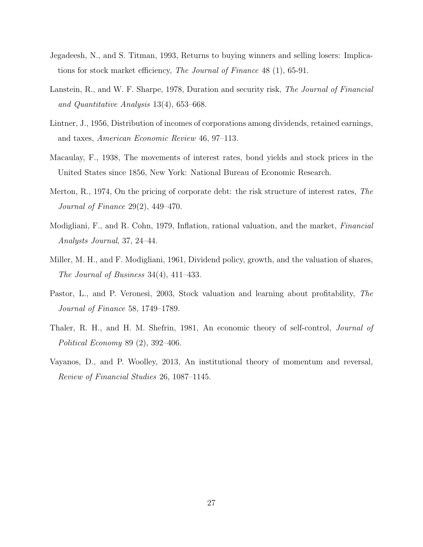- Jegadeesh, N., and S. Titman, 1993, Returns to buying winners and selling losers: Implications for stock market efficiency, The Journal of Finance 48 (1), 65-91.
- Lanstein, R., and W. F. Sharpe, 1978, Duration and security risk, The Journal of Financial and Quantitative Analysis 13(4), 653–668.
- Lintner, J., 1956, Distribution of incomes of corporations among dividends, retained earnings, and taxes, American Economic Review 46, 97–113.
- Macaulay, F., 1938, The movements of interest rates, bond yields and stock prices in the United States since 1856, New York: National Bureau of Economic Research.
- Merton, R., 1974, On the pricing of corporate debt: the risk structure of interest rates, The Journal of Finance 29(2), 449–470.
- Modigliani, F., and R. Cohn, 1979, Inflation, rational valuation, and the market, Financial Analysts Journal, 37, 24–44.
- Miller, M. H., and F. Modigliani, 1961, Dividend policy, growth, and the valuation of shares, The Journal of Business 34(4), 411–433.
- Pastor, L., and P. Veronesi, 2003, Stock valuation and learning about profitability, The Journal of Finance 58, 1749–1789.
- Thaler, R. H., and H. M. Shefrin, 1981, An economic theory of self-control, Journal of Political Economy 89 (2), 392–406.
- Vayanos, D., and P. Woolley, 2013, An institutional theory of momentum and reversal, Review of Financial Studies 26, 1087–1145.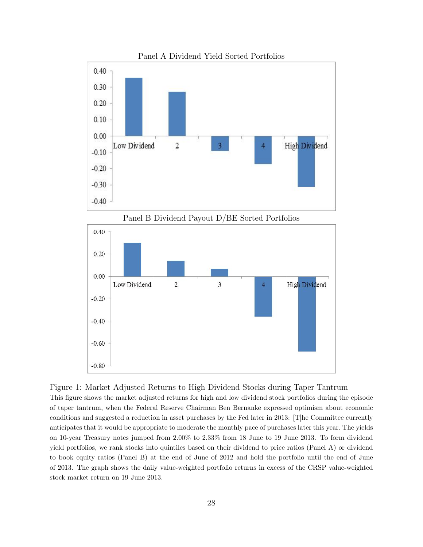<span id="page-27-0"></span>

Panel A Dividend Yield Sorted Portfolios

Figure 1: Market Adjusted Returns to High Dividend Stocks during Taper Tantrum This figure shows the market adjusted returns for high and low dividend stock portfolios during the episode of taper tantrum, when the Federal Reserve Chairman Ben Bernanke expressed optimism about economic conditions and suggested a reduction in asset purchases by the Fed later in 2013: [T]he Committee currently anticipates that it would be appropriate to moderate the monthly pace of purchases later this year. The yields on 10-year Treasury notes jumped from 2.00% to 2.33% from 18 June to 19 June 2013. To form dividend yield portfolios, we rank stocks into quintiles based on their dividend to price ratios (Panel A) or dividend to book equity ratios (Panel B) at the end of June of 2012 and hold the portfolio until the end of June of 2013. The graph shows the daily value-weighted portfolio returns in excess of the CRSP value-weighted stock market return on 19 June 2013.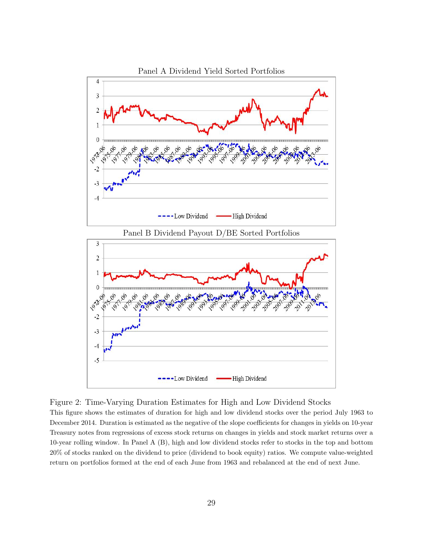<span id="page-28-0"></span>

Figure 2: Time-Varying Duration Estimates for High and Low Dividend Stocks

This figure shows the estimates of duration for high and low dividend stocks over the period July 1963 to December 2014. Duration is estimated as the negative of the slope coefficients for changes in yields on 10-year Treasury notes from regressions of excess stock returns on changes in yields and stock market returns over a 10-year rolling window. In Panel A (B), high and low dividend stocks refer to stocks in the top and bottom 20% of stocks ranked on the dividend to price (dividend to book equity) ratios. We compute value-weighted return on portfolios formed at the end of each June from 1963 and rebalanced at the end of next June.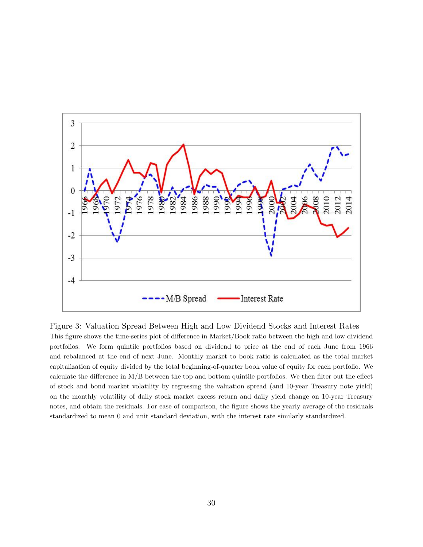<span id="page-29-0"></span>

Figure 3: Valuation Spread Between High and Low Dividend Stocks and Interest Rates This figure shows the time-series plot of difference in Market/Book ratio between the high and low dividend portfolios. We form quintile portfolios based on dividend to price at the end of each June from 1966 and rebalanced at the end of next June. Monthly market to book ratio is calculated as the total market capitalization of equity divided by the total beginning-of-quarter book value of equity for each portfolio. We calculate the difference in M/B between the top and bottom quintile portfolios. We then filter out the effect of stock and bond market volatility by regressing the valuation spread (and 10-year Treasury note yield) on the monthly volatility of daily stock market excess return and daily yield change on 10-year Treasury notes, and obtain the residuals. For ease of comparison, the figure shows the yearly average of the residuals standardized to mean 0 and unit standard deviation, with the interest rate similarly standardized.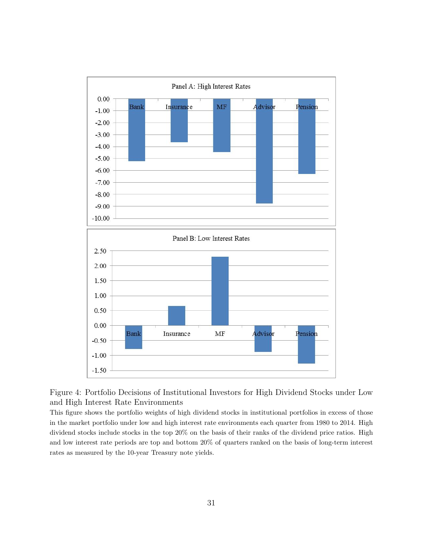<span id="page-30-0"></span>



This figure shows the portfolio weights of high dividend stocks in institutional portfolios in excess of those in the market portfolio under low and high interest rate environments each quarter from 1980 to 2014. High dividend stocks include stocks in the top 20% on the basis of their ranks of the dividend price ratios. High and low interest rate periods are top and bottom 20% of quarters ranked on the basis of long-term interest rates as measured by the 10-year Treasury note yields.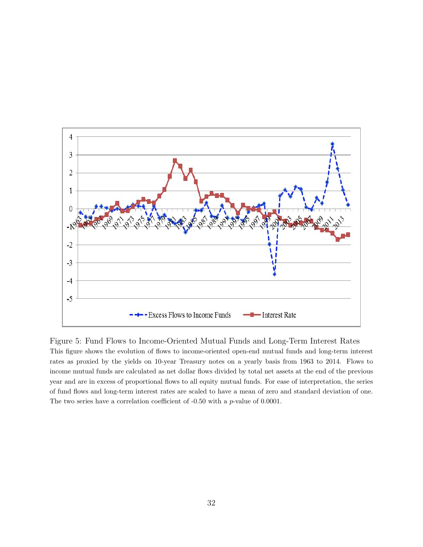<span id="page-31-0"></span>

Figure 5: Fund Flows to Income-Oriented Mutual Funds and Long-Term Interest Rates This figure shows the evolution of flows to income-oriented open-end mutual funds and long-term interest rates as proxied by the yields on 10-year Treasury notes on a yearly basis from 1963 to 2014. Flows to income mutual funds are calculated as net dollar flows divided by total net assets at the end of the previous year and are in excess of proportional flows to all equity mutual funds. For ease of interpretation, the series of fund flows and long-term interest rates are scaled to have a mean of zero and standard deviation of one. The two series have a correlation coefficient of -0.50 with a p-value of 0.0001.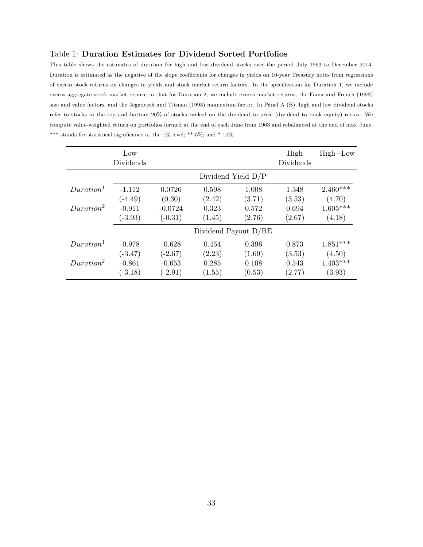#### <span id="page-32-0"></span>Table 1: Duration Estimates for Dividend Sorted Portfolios

This table shows the estimates of duration for high and low dividend stocks over the period July 1963 to December 2014. Duration is estimated as the negative of the slope coefficients for changes in yields on 10-year Treasury notes from regressions of excess stock returns on changes in yields and stock market return factors. In the specification for Duration 1, we include excess aggregate stock market return; in that for Duration 2, we include excess market returns, the Fama and French (1993) size and value factors, and the Jegadeesh and Titman (1993) momentum factor. In Panel A (B), high and low dividend stocks refer to stocks in the top and bottom 20% of stocks ranked on the dividend to price (dividend to book equity) ratios. We compute value-weighted return on portfolios formed at the end of each June from 1963 and rebalanced at the end of next June. \*\*\* stands for statistical significance at the 1% level; \*\* 5%; and \* 10%.

|                       | Low<br>Dividends |           |                      |        | High<br>Dividends | $High-Low$ |
|-----------------------|------------------|-----------|----------------------|--------|-------------------|------------|
|                       |                  |           | Dividend Yield $D/P$ |        |                   |            |
| Duration <sup>1</sup> | $-1.112$         | 0.0726    | 0.598                | 1.008  | 1.348             | $2.460***$ |
|                       | $(-4.49)$        | (0.30)    | (2.42)               | (3.71) | (3.53)            | (4.70)     |
| Duration <sup>2</sup> | $-0.911$         | $-0.0724$ | 0.323                | 0.572  | 0.694             | $1.605***$ |
|                       | $(-3.93)$        | $(-0.31)$ | (1.45)               | (2.76) | (2.67)            | (4.18)     |
|                       |                  |           | Dividend Payout D/BE |        |                   |            |
| Duration <sup>1</sup> | $-0.978$         | $-0.628$  | 0.454                | 0.396  | 0.873             | $1.851***$ |
|                       | $(-3.47)$        | $(-2.67)$ | (2.23)               | (1.69) | (3.53)            | (4.50)     |
| Duration <sup>2</sup> | $-0.861$         | $-0.653$  | 0.285                | 0.108  | 0.543             | $1.403***$ |
|                       | $(-3.18)$        | $(-2.91)$ | (1.55)               | (0.53) | (2.77)            | (3.93)     |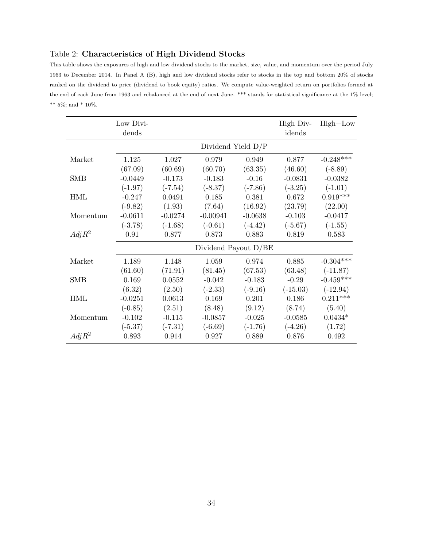### <span id="page-33-0"></span>Table 2: Characteristics of High Dividend Stocks

This table shows the exposures of high and low dividend stocks to the market, size, value, and momentum over the period July 1963 to December 2014. In Panel A (B), high and low dividend stocks refer to stocks in the top and bottom 20% of stocks ranked on the dividend to price (dividend to book equity) ratios. We compute value-weighted return on portfolios formed at the end of each June from 1963 and rebalanced at the end of next June. \*\*\* stands for statistical significance at the 1% level;  $^{**}$  5%; and \* 10%.

|            | Low Divi-<br>dends |           |                      |           | High Div-<br>idends | $High-Low$  |
|------------|--------------------|-----------|----------------------|-----------|---------------------|-------------|
|            |                    |           | Dividend Yield D/P   |           |                     |             |
| Market     | 1.125              | 1.027     | 0.979                | 0.949     | 0.877               | $-0.248***$ |
|            | (67.09)            | (60.69)   | (60.70)              | (63.35)   | (46.60)             | $(-8.89)$   |
| <b>SMB</b> | $-0.0449$          | $-0.173$  | $-0.183$             | $-0.16$   | $-0.0831$           | $-0.0382$   |
|            | $(-1.97)$          | $(-7.54)$ | $(-8.37)$            | $(-7.86)$ | $(-3.25)$           | $(-1.01)$   |
| <b>HML</b> | $-0.247$           | 0.0491    | 0.185                | 0.381     | 0.672               | $0.919***$  |
|            | $(-9.82)$          | (1.93)    | (7.64)               | (16.92)   | (23.79)             | (22.00)     |
| Momentum   | $-0.0611$          | $-0.0274$ | $-0.00941$           | $-0.0638$ | $-0.103$            | $-0.0417$   |
|            | $(-3.78)$          | $(-1.68)$ | $(-0.61)$            | $(-4.42)$ | $(-5.67)$           | $(-1.55)$   |
| $Adj R^2$  | 0.91               | 0.877     | 0.873                | 0.883     | 0.819               | 0.583       |
|            |                    |           | Dividend Payout D/BE |           |                     |             |
| Market     | 1.189              | 1.148     | 1.059                | 0.974     | 0.885               | $-0.304***$ |
|            | (61.60)            | (71.91)   | (81.45)              | (67.53)   | (63.48)             | $(-11.87)$  |
| <b>SMB</b> | 0.169              | 0.0552    | $-0.042$             | $-0.183$  | $-0.29$             | $-0.459***$ |
|            | (6.32)             | (2.50)    | $(-2.33)$            | $(-9.16)$ | $(-15.03)$          | $(-12.94)$  |
| HML        | $-0.0251$          | 0.0613    | 0.169                | 0.201     | 0.186               | $0.211***$  |
|            | $(-0.85)$          | (2.51)    | (8.48)               | (9.12)    | (8.74)              | (5.40)      |
| Momentum   | $-0.102$           | $-0.115$  | $-0.0857$            | $-0.025$  | $-0.0585$           | $0.0434*$   |
|            | $(-5.37)$          | $(-7.31)$ | $(-6.69)$            | $(-1.76)$ | $(-4.26)$           | (1.72)      |
| $Adj R^2$  | 0.893              | 0.914     | 0.927                | 0.889     | 0.876               | 0.492       |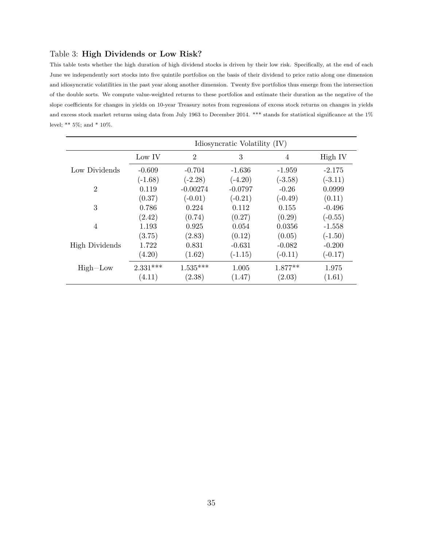#### <span id="page-34-0"></span>Table 3: High Dividends or Low Risk?

This table tests whether the high duration of high dividend stocks is driven by their low risk. Specifically, at the end of each June we independently sort stocks into five quintile portfolios on the basis of their dividend to price ratio along one dimension and idiosyncratic volatilities in the past year along another dimension. Twenty five portfolios thus emerge from the intersection of the double sorts. We compute value-weighted returns to these portfolios and estimate their duration as the negative of the slope coefficients for changes in yields on 10-year Treasury notes from regressions of excess stock returns on changes in yields and excess stock market returns using data from July 1963 to December 2014. \*\*\* stands for statistical significance at the 1% level; \*\*  $5\%$ ; and \*  $10\%$ .

|                       | Idiosyncratic Volatility (IV) |                |           |                |           |  |  |  |
|-----------------------|-------------------------------|----------------|-----------|----------------|-----------|--|--|--|
|                       | Low IV                        | $\overline{2}$ | 3         | $\overline{4}$ | High IV   |  |  |  |
| Low Dividends         | $-0.609$                      | $-0.704$       | $-1.636$  | $-1.959$       | $-2.175$  |  |  |  |
|                       | $(-1.68)$                     | $(-2.28)$      | $(-4.20)$ | $(-3.58)$      | $(-3.11)$ |  |  |  |
| $\overline{2}$        | 0.119                         | $-0.00274$     | $-0.0797$ | $-0.26$        | 0.0999    |  |  |  |
|                       | (0.37)                        | $(-0.01)$      | $(-0.21)$ | $(-0.49)$      | (0.11)    |  |  |  |
| 3                     | 0.786                         | 0.224          | 0.112     | 0.155          | $-0.496$  |  |  |  |
|                       | (2.42)                        | (0.74)         | (0.27)    | (0.29)         | $(-0.55)$ |  |  |  |
| $\overline{4}$        | 1.193                         | 0.925          | 0.054     | 0.0356         | $-1.558$  |  |  |  |
|                       | (3.75)                        | (2.83)         | (0.12)    | (0.05)         | $(-1.50)$ |  |  |  |
| <b>High Dividends</b> | 1.722                         | 0.831          | $-0.631$  | $-0.082$       | $-0.200$  |  |  |  |
|                       | (4.20)                        | (1.62)         | $(-1.15)$ | $(-0.11)$      | $(-0.17)$ |  |  |  |
| $High-Low$            | $2.331***$                    | $1.535***$     | 1.005     | $1.877**$      | 1.975     |  |  |  |
|                       | (4.11)                        | (2.38)         | (1.47)    | (2.03)         | (1.61)    |  |  |  |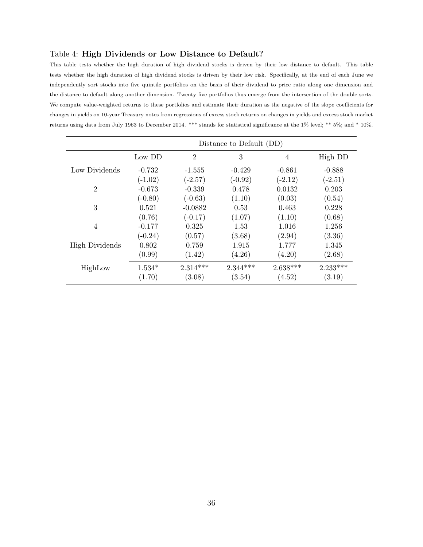#### <span id="page-35-0"></span>Table 4: High Dividends or Low Distance to Default?

This table tests whether the high duration of high dividend stocks is driven by their low distance to default. This table tests whether the high duration of high dividend stocks is driven by their low risk. Specifically, at the end of each June we independently sort stocks into five quintile portfolios on the basis of their dividend to price ratio along one dimension and the distance to default along another dimension. Twenty five portfolios thus emerge from the intersection of the double sorts. We compute value-weighted returns to these portfolios and estimate their duration as the negative of the slope coefficients for changes in yields on 10-year Treasury notes from regressions of excess stock returns on changes in yields and excess stock market returns using data from July 1963 to December 2014. \*\*\* stands for statistical significance at the 1% level; \*\* 5%; and \* 10%.

|                       | Distance to Default (DD) |                |            |                |            |  |  |  |
|-----------------------|--------------------------|----------------|------------|----------------|------------|--|--|--|
|                       | Low DD                   | $\overline{2}$ | 3          | $\overline{4}$ | High DD    |  |  |  |
| Low Dividends         | $-0.732$                 | $-1.555$       | $-0.429$   | $-0.861$       | $-0.888$   |  |  |  |
|                       | $(-1.02)$                | $(-2.57)$      | $(-0.92)$  | $(-2.12)$      | $(-2.51)$  |  |  |  |
| $\overline{2}$        | $-0.673$                 | $-0.339$       | 0.478      | 0.0132         | 0.203      |  |  |  |
|                       | $(-0.80)$                | $(-0.63)$      | (1.10)     | (0.03)         | (0.54)     |  |  |  |
| 3                     | 0.521                    | $-0.0882$      | 0.53       | 0.463          | 0.228      |  |  |  |
|                       | (0.76)                   | $(-0.17)$      | (1.07)     | (1.10)         | (0.68)     |  |  |  |
| $\overline{4}$        | $-0.177$                 | 0.325          | 1.53       | 1.016          | 1.256      |  |  |  |
|                       | $(-0.24)$                | (0.57)         | (3.68)     | (2.94)         | (3.36)     |  |  |  |
| <b>High Dividends</b> | 0.802                    | 0.759          | 1.915      | 1.777          | 1.345      |  |  |  |
|                       | (0.99)                   | (1.42)         | (4.26)     | (4.20)         | (2.68)     |  |  |  |
| HighLow               | $1.534*$                 | $2.314***$     | $2.344***$ | $2.638***$     | $2.233***$ |  |  |  |
|                       | (1.70)                   | (3.08)         | (3.54)     | (4.52)         | (3.19)     |  |  |  |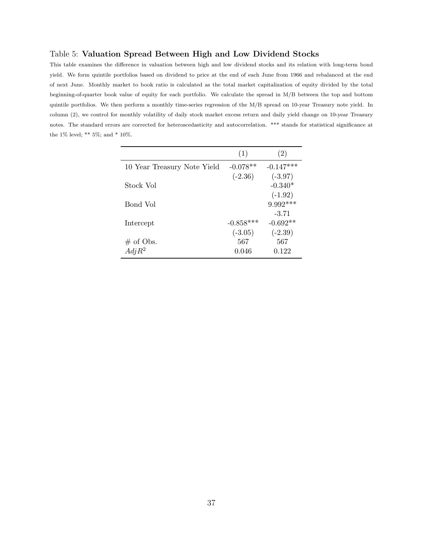#### <span id="page-36-0"></span>Table 5: Valuation Spread Between High and Low Dividend Stocks

This table examines the difference in valuation between high and low dividend stocks and its relation with long-term bond yield. We form quintile portfolios based on dividend to price at the end of each June from 1966 and rebalanced at the end of next June. Monthly market to book ratio is calculated as the total market capitalization of equity divided by the total beginning-of-quarter book value of equity for each portfolio. We calculate the spread in M/B between the top and bottom quintile portfolios. We then perform a monthly time-series regression of the M/B spread on 10-year Treasury note yield. In column (2), we control for monthly volatility of daily stock market excess return and daily yield change on 10-year Treasury notes. The standard errors are corrected for heteroscedasticity and autocorrelation. \*\*\* stands for statistical significance at the 1% level; \*\* 5%; and \* 10%.

|                             | (1)         | (2)                    |
|-----------------------------|-------------|------------------------|
| 10 Year Treasury Note Yield | $-0.078**$  | $-0.147***$            |
|                             | $(-2.36)$   | $(-3.97)$              |
| Stock Vol                   |             | $-0.340*$<br>$(-1.92)$ |
| Bond Vol                    |             | $9.992***$             |
|                             |             | $-3.71$                |
| Intercept                   | $-0.858***$ | $-0.692**$             |
|                             | $(-3.05)$   | $(-2.39)$              |
| $\#$ of Obs.                | 567         | 567                    |
| $Adj R^2$                   | 0.046       | 0.122                  |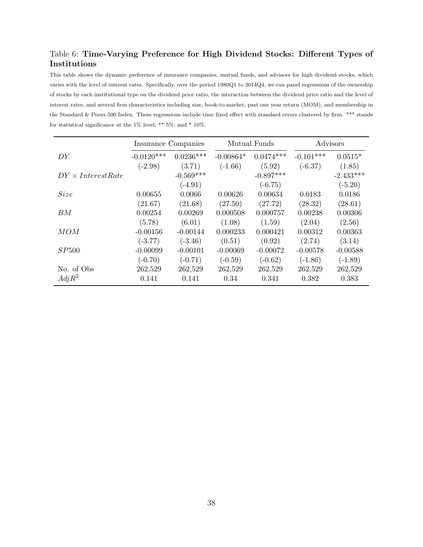## <span id="page-37-0"></span>Table 6: Time-Varying Preference for High Dividend Stocks: Different Types of Institutions

This table shows the dynamic preference of insurance companies, mutual funds, and advisors for high dividend stocks, which varies with the level of interest rates. Specifically, over the period 1980Q1 to 2014Q4, we run panel regressions of the ownership of stocks by each institutional type on the dividend price ratio, the interaction between the dividend price ratio and the level of interest rates, and several firm characteristics including size, book-to-market, past one year return (MOM), and membership in the Standard & Poors 500 Index. These regressions include time fixed effect with standard errors clustered by firm. \*\*\* stands for statistical significance at the  $1\%$  level; \*\*  $5\%$ ; and \*  $10\%.$ 

|                          | Insurance Companies |             |             | Mutual Funds | Advisors    |             |
|--------------------------|---------------------|-------------|-------------|--------------|-------------|-------------|
| DY                       | $-0.0120***$        | $0.0236***$ | $-0.00864*$ | $0.0474***$  | $-0.101***$ | $0.0515*$   |
|                          | $(-2.98)$           | (3.71)      | $(-1.66)$   | (5.92)       | $(-6.37)$   | (1.85)      |
| $DY \times InterestRate$ |                     | $-0.569***$ |             | $-0.897***$  |             | $-2.433***$ |
|                          |                     | $(-4.91)$   |             | $(-6.75)$    |             | $(-5.20)$   |
| <i>Size</i>              | 0.00655             | 0.0066      | 0.00626     | 0.00634      | 0.0183      | 0.0186      |
|                          | (21.67)             | (21.68)     | (27.50)     | (27.72)      | (28.32)     | (28.61)     |
| BM                       | 0.00254             | 0.00269     | 0.000508    | 0.000757     | 0.00238     | 0.00306     |
|                          | (5.78)              | (6.01)      | (1.08)      | (1.59)       | (2.04)      | (2.56)      |
| MOM                      | $-0.00156$          | $-0.00144$  | 0.000233    | 0.000421     | 0.00312     | 0.00363     |
|                          | $(-3.77)$           | $(-3.46)$   | (0.51)      | (0.92)       | (2.74)      | (3.14)      |
| SP500                    | $-0.00099$          | $-0.00101$  | $-0.00069$  | $-0.00072$   | $-0.00578$  | $-0.00588$  |
|                          | $(-0.70)$           | $(-0.71)$   | $(-0.59)$   | $(-0.62)$    | $(-1.86)$   | $(-1.89)$   |
| No. of Obs               | 262,529             | 262,529     | 262,529     | 262,529      | 262,529     | 262,529     |
| $Adj R^2$                | 0.141               | 0.141       | 0.34        | 0.341        | 0.382       | 0.383       |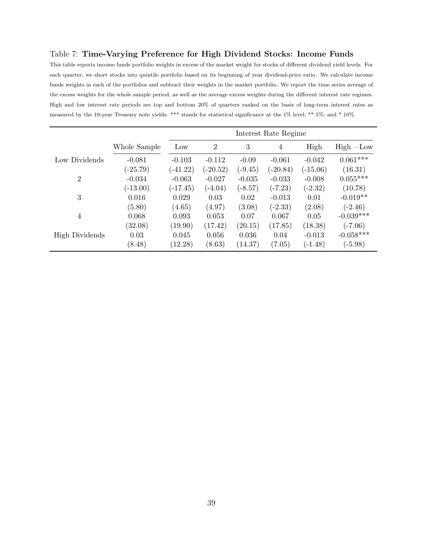#### <span id="page-38-0"></span>Table 7: Time-Varying Preference for High Dividend Stocks: Income Funds

This table reports income funds portfolio weights in excess of the market weight for stocks of different dividend yield levels. For each quarter, we short stocks into quintile portfolio based on its beginning of year dividend-price ratio. We calculate income funds weights in each of the portfolios and subtract their weights in the market portfolio. We report the time series average of the excess weights for the whole sample period, as well as the average excess weights during the different interest rate regimes. High and low interest rate periods are top and bottom 20% of quarters ranked on the basis of long-term interest rates as measured by the 10-year Treasury note yields. \*\*\* stands for statistical significance at the 1% level; \*\* 5%; and \* 10%.

|                       |              | Interest Rate Regime |                |           |            |            |             |
|-----------------------|--------------|----------------------|----------------|-----------|------------|------------|-------------|
|                       | Whole Sample | Low                  | $\overline{2}$ | 3         | 4          | High       | $High$ -Low |
| Low Dividends         | $-0.081$     | $-0.103$             | $-0.112$       | $-0.09$   | $-0.061$   | $-0.042$   | $0.061***$  |
|                       | $(-25.79)$   | $(-41.22)$           | $(-20.52)$     | $(-9.45)$ | $(-20.84)$ | $(-15.06)$ | (16.31)     |
| $\overline{2}$        | $-0.034$     | $-0.063$             | $-0.027$       | $-0.035$  | $-0.033$   | $-0.008$   | $0.055***$  |
|                       | $(-13.00)$   | $(-17.45)$           | $(-4.04)$      | $(-8.57)$ | $(-7.23)$  | $(-2.32)$  | (10.78)     |
| 3                     | 0.016        | 0.029                | 0.03           | 0.02      | $-0.013$   | 0.01       | $-0.019**$  |
|                       | (5.80)       | (4.65)               | (4.97)         | (3.08)    | $(-2.33)$  | (2.08)     | $(-2.46)$   |
| $\overline{4}$        | 0.068        | 0.093                | 0.053          | 0.07      | 0.067      | 0.05       | $-0.039***$ |
|                       | (32.08)      | (19.90)              | (17.42)        | (20.15)   | (17.85)    | (18.38)    | $(-7.06)$   |
| <b>High Dividends</b> | 0.03         | 0.045                | 0.056          | 0.036     | 0.04       | $-0.013$   | $-0.058***$ |
|                       | (8.48)       | (12.28)              | (8.63)         | (14.37)   | (7.05)     | $(-1.48)$  | $(-5.98)$   |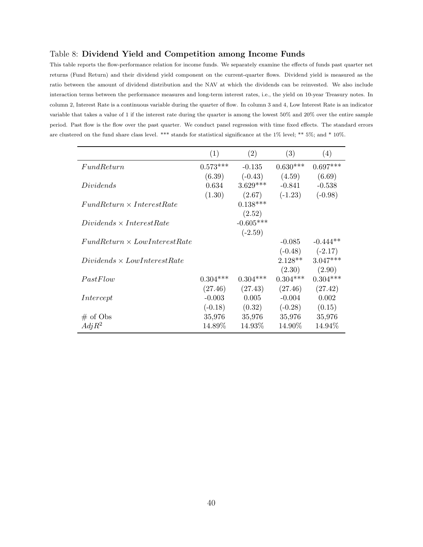#### <span id="page-39-0"></span>Table 8: Dividend Yield and Competition among Income Funds

This table reports the flow-performance relation for income funds. We separately examine the effects of funds past quarter net returns (Fund Return) and their dividend yield component on the current-quarter flows. Dividend yield is measured as the ratio between the amount of dividend distribution and the NAV at which the dividends can be reinvested. We also include interaction terms between the performance measures and long-term interest rates, i.e., the yield on 10-year Treasury notes. In column 2, Interest Rate is a continuous variable during the quarter of flow. In column 3 and 4, Low Interest Rate is an indicator variable that takes a value of 1 if the interest rate during the quarter is among the lowest 50% and 20% over the entire sample period. Past flow is the flow over the past quarter. We conduct panel regression with time fixed effects. The standard errors are clustered on the fund share class level. \*\*\* stands for statistical significance at the 1% level; \*\* 5%; and \* 10%.

|                                     | (1)        | (2)         | (3)        | (4)        |
|-------------------------------------|------------|-------------|------------|------------|
| FundReturn                          | $0.573***$ | $-0.135$    | $0.630***$ | $0.697***$ |
|                                     | (6.39)     | $(-0.43)$   | (4.59)     | (6.69)     |
| Dividends                           | 0.634      | $3.629***$  | $-0.841$   | $-0.538$   |
|                                     | (1.30)     | (2.67)      | $(-1.23)$  | $(-0.98)$  |
| $FundReturn \times InterestRate$    |            | $0.138***$  |            |            |
|                                     |            | (2.52)      |            |            |
| $Dividends \times InterestRate$     |            | $-0.605***$ |            |            |
|                                     |            | $(-2.59)$   |            |            |
| $FundReturn \times LowInterestRate$ |            |             | $-0.085$   | $-0.444**$ |
|                                     |            |             | $(-0.48)$  | $(-2.17)$  |
| $Dividends \times LowInterestRate$  |            |             | $2.128**$  | $3.047***$ |
|                                     |            |             | (2.30)     | (2.90)     |
| PastFlow                            | $0.304***$ | $0.304***$  | $0.304***$ | $0.304***$ |
|                                     | (27.46)    | (27.43)     | (27.46)    | (27.42)    |
| Intercept                           | $-0.003$   | 0.005       | $-0.004$   | 0.002      |
|                                     | $(-0.18)$  | (0.32)      | $(-0.28)$  | (0.15)     |
| $#$ of Obs                          | 35,976     | 35,976      | 35,976     | 35,976     |
| $Adj R^2$                           | 14.89%     | 14.93%      | 14.90%     | 14.94%     |